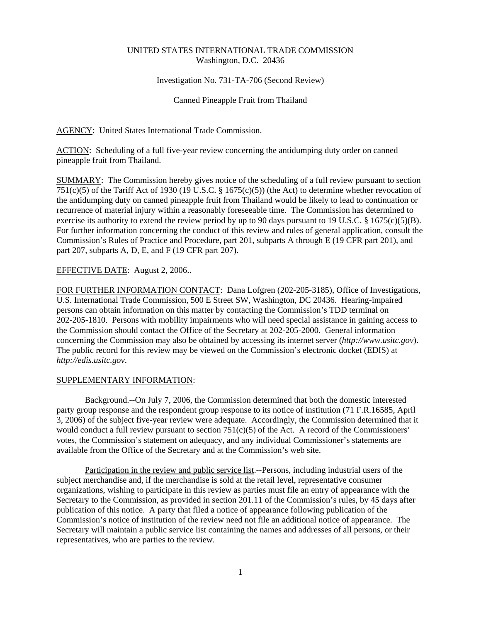## UNITED STATES INTERNATIONAL TRADE COMMISSION Washington, D.C. 20436

### Investigation No. 731-TA-706 (Second Review)

### Canned Pineapple Fruit from Thailand

AGENCY: United States International Trade Commission.

ACTION: Scheduling of a full five-year review concerning the antidumping duty order on canned pineapple fruit from Thailand.

SUMMARY: The Commission hereby gives notice of the scheduling of a full review pursuant to section 751(c)(5) of the Tariff Act of 1930 (19 U.S.C. § 1675(c)(5)) (the Act) to determine whether revocation of the antidumping duty on canned pineapple fruit from Thailand would be likely to lead to continuation or recurrence of material injury within a reasonably foreseeable time. The Commission has determined to exercise its authority to extend the review period by up to 90 days pursuant to 19 U.S.C. § 1675(c)(5)(B). For further information concerning the conduct of this review and rules of general application, consult the Commission's Rules of Practice and Procedure, part 201, subparts A through E (19 CFR part 201), and part 207, subparts A, D, E, and F (19 CFR part 207).

# EFFECTIVE DATE: August 2, 2006...

FOR FURTHER INFORMATION CONTACT: Dana Lofgren (202-205-3185), Office of Investigations, U.S. International Trade Commission, 500 E Street SW, Washington, DC 20436. Hearing-impaired persons can obtain information on this matter by contacting the Commission's TDD terminal on 202-205-1810. Persons with mobility impairments who will need special assistance in gaining access to the Commission should contact the Office of the Secretary at 202-205-2000. General information concerning the Commission may also be obtained by accessing its internet server (*http://www.usitc.gov*). The public record for this review may be viewed on the Commission's electronic docket (EDIS) at *http://edis.usitc.gov*.

### SUPPLEMENTARY INFORMATION:

Background.--On July 7, 2006, the Commission determined that both the domestic interested party group response and the respondent group response to its notice of institution (71 F.R.16585, April 3, 2006) of the subject five-year review were adequate. Accordingly, the Commission determined that it would conduct a full review pursuant to section 751(c)(5) of the Act. A record of the Commissioners' votes, the Commission's statement on adequacy, and any individual Commissioner's statements are available from the Office of the Secretary and at the Commission's web site.

Participation in the review and public service list.--Persons, including industrial users of the subject merchandise and, if the merchandise is sold at the retail level, representative consumer organizations, wishing to participate in this review as parties must file an entry of appearance with the Secretary to the Commission, as provided in section 201.11 of the Commission's rules, by 45 days after publication of this notice. A party that filed a notice of appearance following publication of the Commission's notice of institution of the review need not file an additional notice of appearance. The Secretary will maintain a public service list containing the names and addresses of all persons, or their representatives, who are parties to the review.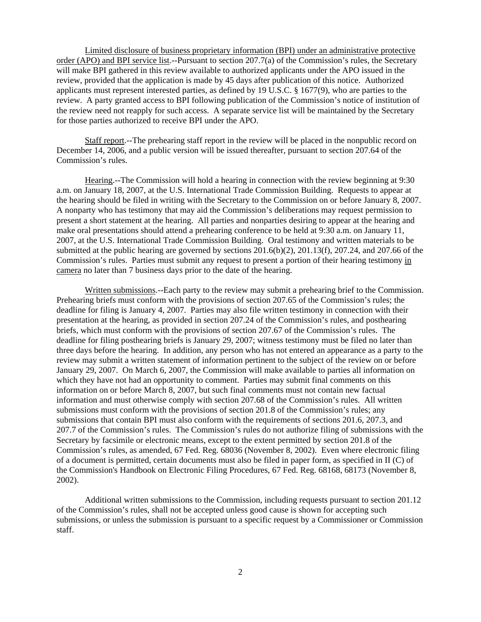Limited disclosure of business proprietary information (BPI) under an administrative protective order (APO) and BPI service list.--Pursuant to section 207.7(a) of the Commission's rules, the Secretary will make BPI gathered in this review available to authorized applicants under the APO issued in the review, provided that the application is made by 45 days after publication of this notice. Authorized applicants must represent interested parties, as defined by 19 U.S.C. § 1677(9), who are parties to the review. A party granted access to BPI following publication of the Commission's notice of institution of the review need not reapply for such access. A separate service list will be maintained by the Secretary for those parties authorized to receive BPI under the APO.

Staff report.--The prehearing staff report in the review will be placed in the nonpublic record on December 14, 2006, and a public version will be issued thereafter, pursuant to section 207.64 of the Commission's rules.

Hearing.--The Commission will hold a hearing in connection with the review beginning at 9:30 a.m. on January 18, 2007, at the U.S. International Trade Commission Building. Requests to appear at the hearing should be filed in writing with the Secretary to the Commission on or before January 8, 2007. A nonparty who has testimony that may aid the Commission's deliberations may request permission to present a short statement at the hearing. All parties and nonparties desiring to appear at the hearing and make oral presentations should attend a prehearing conference to be held at 9:30 a.m. on January 11, 2007, at the U.S. International Trade Commission Building. Oral testimony and written materials to be submitted at the public hearing are governed by sections 201.6(b)(2), 201.13(f), 207.24, and 207.66 of the Commission's rules. Parties must submit any request to present a portion of their hearing testimony in camera no later than 7 business days prior to the date of the hearing.

Written submissions.--Each party to the review may submit a prehearing brief to the Commission. Prehearing briefs must conform with the provisions of section 207.65 of the Commission's rules; the deadline for filing is January 4, 2007. Parties may also file written testimony in connection with their presentation at the hearing, as provided in section 207.24 of the Commission's rules, and posthearing briefs, which must conform with the provisions of section 207.67 of the Commission's rules. The deadline for filing posthearing briefs is January 29, 2007; witness testimony must be filed no later than three days before the hearing. In addition, any person who has not entered an appearance as a party to the review may submit a written statement of information pertinent to the subject of the review on or before January 29, 2007. On March 6, 2007, the Commission will make available to parties all information on which they have not had an opportunity to comment. Parties may submit final comments on this information on or before March 8, 2007, but such final comments must not contain new factual information and must otherwise comply with section 207.68 of the Commission's rules. All written submissions must conform with the provisions of section 201.8 of the Commission's rules; any submissions that contain BPI must also conform with the requirements of sections 201.6, 207.3, and 207.7 of the Commission's rules. The Commission's rules do not authorize filing of submissions with the Secretary by facsimile or electronic means, except to the extent permitted by section 201.8 of the Commission's rules, as amended, 67 Fed. Reg. 68036 (November 8, 2002). Even where electronic filing of a document is permitted, certain documents must also be filed in paper form, as specified in II (C) of the Commission's Handbook on Electronic Filing Procedures, 67 Fed. Reg. 68168, 68173 (November 8, 2002).

Additional written submissions to the Commission, including requests pursuant to section 201.12 of the Commission's rules, shall not be accepted unless good cause is shown for accepting such submissions, or unless the submission is pursuant to a specific request by a Commissioner or Commission staff.